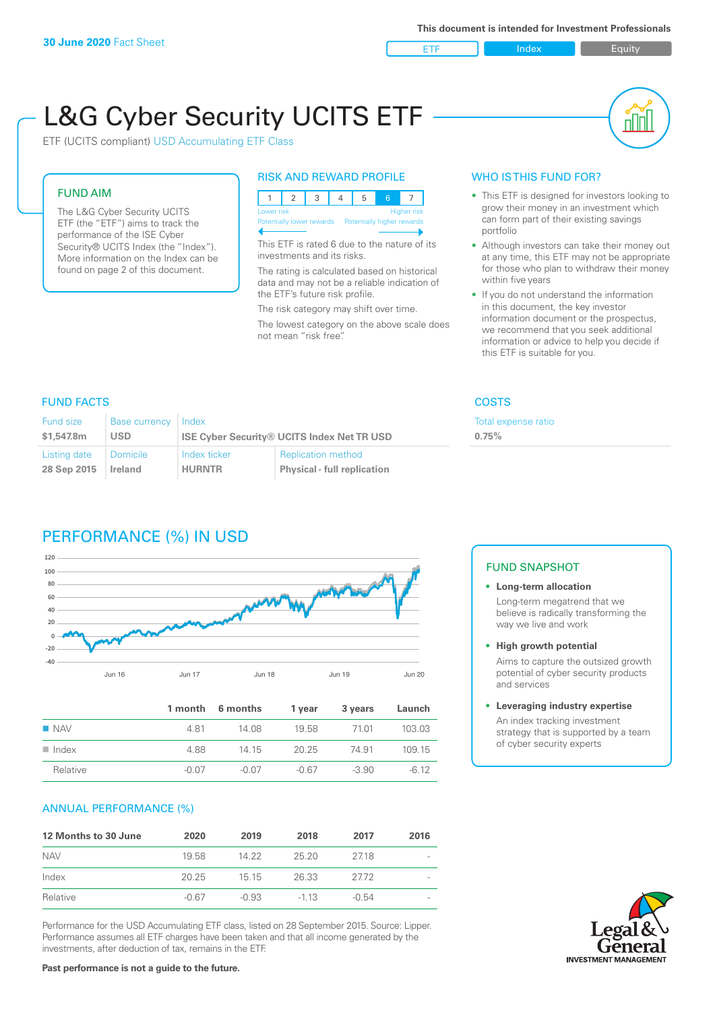ETF Index Buity

пIП

# L&G Cyber Security UCITS ETF

ETF (UCITS compliant) USD Accumulating ETF Class

#### FUND AIM

The L&G Cyber Security UCITS ETF (the "ETF") aims to track the performance of the ISE Cyber Security® UCITS Index (the "Index"). More information on the Index can be found on page 2 of this document.

#### RISK AND REWARD PROFILE

|  | Lower risk<br><b>Higher risk</b> |  |  |  |                                                      |  |  |  |  |
|--|----------------------------------|--|--|--|------------------------------------------------------|--|--|--|--|
|  |                                  |  |  |  | Potentially lower rewards Potentially higher rewards |  |  |  |  |
|  |                                  |  |  |  |                                                      |  |  |  |  |

This ETF is rated 6 due to the nature of its investments and its risks.

The rating is calculated based on historical data and may not be a reliable indication of the ETF's future risk profile.

The risk category may shift over time. The lowest category on the above scale does not mean "risk free".

#### WHO IS THIS FUND FOR?

- This ETF is designed for investors looking to grow their money in an investment which can form part of their existing savings portfolio
- Although investors can take their money out at any time, this ETF may not be appropriate for those who plan to withdraw their money within five years
- If you do not understand the information in this document, the key investor information document or the prospectus, we recommend that you seek additional information or advice to help you decide if this ETF is suitable for you.

**0.75%**

Total expense ratio

### FUND FACTS COSTS

| Fund size<br>\$1,547.8m | <b>Base currency</b><br><b>USD</b> | Index         | <b>ISE Cyber Security® UCITS Index Net TR USD</b> |
|-------------------------|------------------------------------|---------------|---------------------------------------------------|
| Listing date            | <b>Domicile</b>                    | Index ticker  | <b>Replication method</b>                         |
| 28 Sep 2015             | Ireland                            | <b>HURNTR</b> | <b>Physical - full replication</b>                |

# PERFORMANCE (%) IN USD



|                      |         | 1 month 6 months | 1 year | 3 years | Launch  |
|----------------------|---------|------------------|--------|---------|---------|
| $\blacksquare$ NAV   | 481     | 14.08            | 19.58  | 71.01   | 103.03  |
| $\blacksquare$ Index | 4.88    | 14 15            | 20.25  | 74.91   | 109.15  |
| Relative             | $-0.07$ | -0.07            | -0.67  | $-3.90$ | $-6.12$ |

### ANNUAL PERFORMANCE (%)

| 12 Months to 30 June | 2020    | 2019    | 2018   | 2017    | 2016 |
|----------------------|---------|---------|--------|---------|------|
| <b>NAV</b>           | 1958    | 14.22   | 25.20  | 2718    |      |
| Index                | 20.25   | 15 15   | 26.33  | 2772    |      |
| Relative             | $-0.67$ | $-0.93$ | $-113$ | $-0.54$ |      |

Performance for the USD Accumulating ETF class, listed on 28 September 2015. Source: Lipper. Performance assumes all ETF charges have been taken and that all income generated by the investments, after deduction of tax, remains in the ETF.

#### FUND SNAPSHOT

#### **• Long-term allocation** Long-term megatrend that we believe is radically transforming the way we live and work

**• High growth potential**

Aims to capture the outsized growth potential of cyber security products and services

#### **• Leveraging industry expertise**

An index tracking investment strategy that is supported by a team of cyber security experts

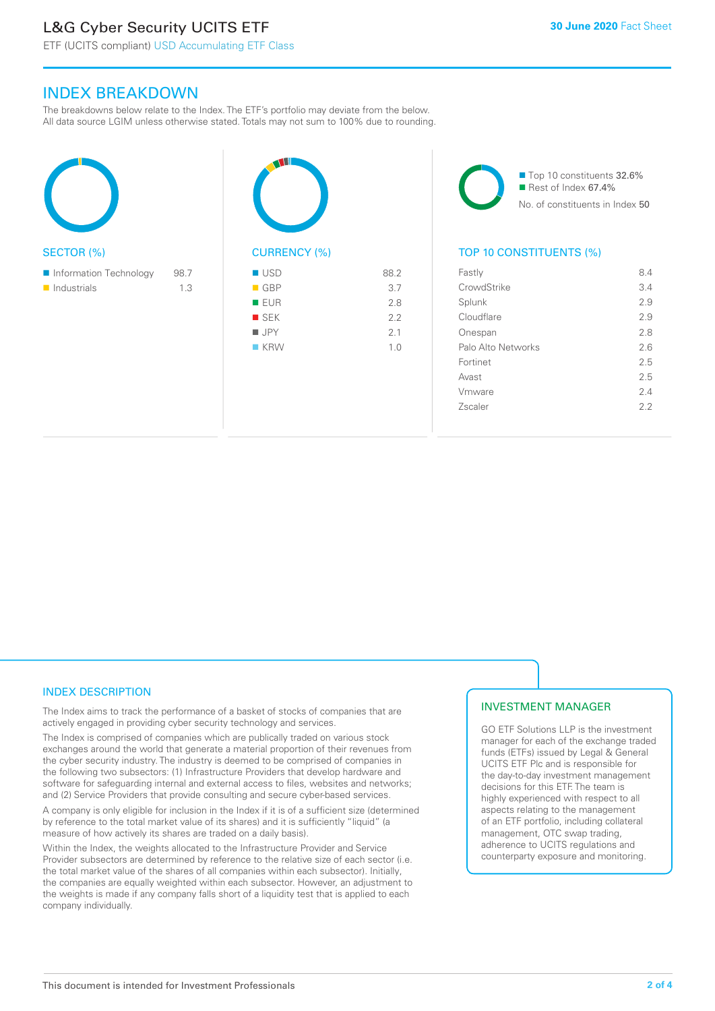## L&G Cyber Security UCITS ETF

#### INDEX BREAKDOWN

The breakdowns below relate to the Index. The ETF's portfolio may deviate from the below. All data source LGIM unless otherwise stated. Totals may not sum to 100% due to rounding.

| <b>SECTOR (%)</b>                     |             | <b>CURF</b>                                                                     |
|---------------------------------------|-------------|---------------------------------------------------------------------------------|
| Information Technology<br>Industrials | 98.7<br>1.3 | <b>USD</b><br>GBF<br>ш<br><b>EUF</b><br><b>SEK</b><br>$\blacksquare$ JPY<br>KRV |



88.2

■ Top 10 constituents 32.6%  $\blacksquare$  Rest of Index 67.4% No. of constituents in Index 50

#### TOP 10 CONSTITUENTS (%)

| Fastly             | 8.4 |
|--------------------|-----|
| CrowdStrike        | 3.4 |
| Splunk             | 2.9 |
| Cloudflare         | 2.9 |
| Onespan            | 2.8 |
| Palo Alto Networks | 2.6 |
| Fortinet           | 2.5 |
| Avast              | 2.5 |
| Vmware             | 2.4 |
| Zscaler            | フフ  |
|                    |     |

#### INDEX DESCRIPTION

The Index aims to track the performance of a basket of stocks of companies that are actively engaged in providing cyber security technology and services.

The Index is comprised of companies which are publically traded on various stock exchanges around the world that generate a material proportion of their revenues from the cyber security industry. The industry is deemed to be comprised of companies in the following two subsectors: (1) Infrastructure Providers that develop hardware and software for safeguarding internal and external access to files, websites and networks; and (2) Service Providers that provide consulting and secure cyber-based services.

A company is only eligible for inclusion in the Index if it is of a sufficient size (determined by reference to the total market value of its shares) and it is sufficiently "liquid" (a measure of how actively its shares are traded on a daily basis).

Within the Index, the weights allocated to the Infrastructure Provider and Service Provider subsectors are determined by reference to the relative size of each sector (i.e. the total market value of the shares of all companies within each subsector). Initially, the companies are equally weighted within each subsector. However, an adjustment to the weights is made if any company falls short of a liquidity test that is applied to each company individually.

#### INVESTMENT MANAGER

GO ETF Solutions LLP is the investment manager for each of the exchange traded funds (ETFs) issued by Legal & General UCITS ETF Plc and is responsible for the day-to-day investment management decisions for this ETF. The team is highly experienced with respect to all aspects relating to the management of an ETF portfolio, including collateral management, OTC swap trading, adherence to UCITS regulations and counterparty exposure and monitoring.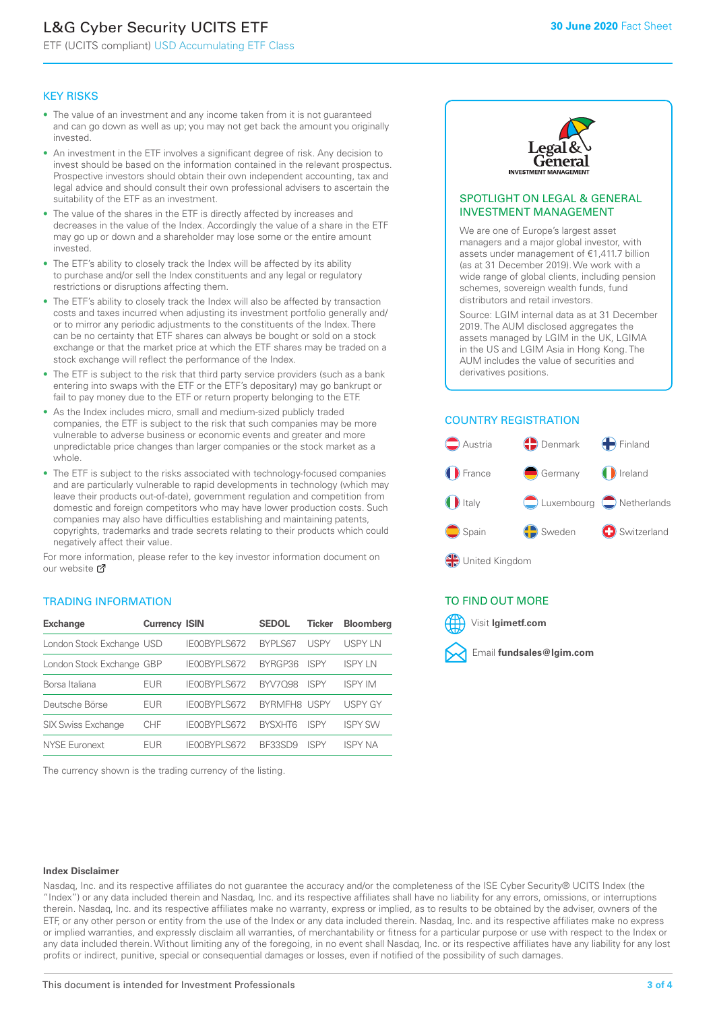# L&G Cyber Security UCITS ETF

ETF (UCITS compliant) USD Accumulating ETF Class

#### KEY RISKS

- The value of an investment and any income taken from it is not guaranteed and can go down as well as up; you may not get back the amount you originally invested.
- An investment in the ETF involves a significant degree of risk. Any decision to invest should be based on the information contained in the relevant prospectus. Prospective investors should obtain their own independent accounting, tax and legal advice and should consult their own professional advisers to ascertain the suitability of the ETF as an investment.
- The value of the shares in the ETF is directly affected by increases and decreases in the value of the Index. Accordingly the value of a share in the ETF may go up or down and a shareholder may lose some or the entire amount invested.
- The ETF's ability to closely track the Index will be affected by its ability to purchase and/or sell the Index constituents and any legal or regulatory restrictions or disruptions affecting them.
- The ETF's ability to closely track the Index will also be affected by transaction costs and taxes incurred when adjusting its investment portfolio generally and/ or to mirror any periodic adjustments to the constituents of the Index. There can be no certainty that ETF shares can always be bought or sold on a stock exchange or that the market price at which the ETF shares may be traded on a stock exchange will reflect the performance of the Index.
- The ETF is subject to the risk that third party service providers (such as a bank entering into swaps with the ETF or the ETF's depositary) may go bankrupt or fail to pay money due to the ETF or return property belonging to the ETF.
- As the Index includes micro, small and medium-sized publicly traded companies, the ETF is subject to the risk that such companies may be more vulnerable to adverse business or economic events and greater and more unpredictable price changes than larger companies or the stock market as a whole.
- The ETF is subject to the risks associated with technology-focused companies and are particularly vulnerable to rapid developments in technology (which may leave their products out-of-date), government regulation and competition from domestic and foreign competitors who may have lower production costs. Such companies may also have difficulties establishing and maintaining patents, copyrights, trademarks and trade secrets relating to their products which could negatively affect their value.

For more information, please refer to the key investor information document on our website Ø

#### TRADING INFORMATION

| <b>Exchange</b>           | <b>Currency ISIN</b> |                     | <b>SEDOL</b>   | <b>Ticker</b> | <b>Bloomberg</b> |
|---------------------------|----------------------|---------------------|----------------|---------------|------------------|
| London Stock Exchange USD |                      | IE00BYPLS672        | <b>BYPLS67</b> | <b>USPY</b>   | USPY IN          |
| London Stock Exchange GBP |                      | IE00BYPLS672        | BYRGP36        | <b>ISPY</b>   | ISPY I N         |
| Borsa Italiana            | <b>EUR</b>           | IE00BYPLS672        | <b>BYV7098</b> | <b>ISPY</b>   | <b>ISPY IM</b>   |
| Deutsche Börse            | <b>EUR</b>           | <b>IFOORYPLS672</b> | BYRMFH8 USPY   |               | <b>USPY GY</b>   |
| <b>SIX Swiss Exchange</b> | CHF                  | IE00BYPLS672        | <b>RYSXHT6</b> | <b>ISPY</b>   | <b>ISPY SW</b>   |
| <b>NYSE Euronext</b>      | FUR                  | IF00BYPLS672        | <b>BE33SD9</b> | ISPY          | <b>ISPY NA</b>   |

The currency shown is the trading currency of the listing.



#### SPOTLIGHT ON LEGAL & GENERAL INVESTMENT MANAGEMENT

We are one of Europe's largest asset managers and a major global investor, with assets under management of €1,411.7 billion (as at 31 December 2019). We work with a wide range of global clients, including pension schemes, sovereign wealth funds, fund distributors and retail investors.

Source: LGIM internal data as at 31 December 2019. The AUM disclosed aggregates the assets managed by LGIM in the UK, LGIMA in the US and LGIM Asia in Hong Kong. The AUM includes the value of securities and derivatives positions.

#### COUNTRY REGISTRATION



#### TO FIND OUT MORE



#### **Index Disclaimer**

Nasdaq, Inc. and its respective affiliates do not guarantee the accuracy and/or the completeness of the ISE Cyber Security® UCITS Index (the "Index") or any data included therein and Nasdaq, Inc. and its respective affiliates shall have no liability for any errors, omissions, or interruptions therein. Nasdaq, Inc. and its respective affiliates make no warranty, express or implied, as to results to be obtained by the adviser, owners of the ETF, or any other person or entity from the use of the Index or any data included therein. Nasdaq, Inc. and its respective affiliates make no express or implied warranties, and expressly disclaim all warranties, of merchantability or fitness for a particular purpose or use with respect to the Index or any data included therein. Without limiting any of the foregoing, in no event shall Nasdaq, Inc. or its respective affiliates have any liability for any lost profits or indirect, punitive, special or consequential damages or losses, even if notified of the possibility of such damages.